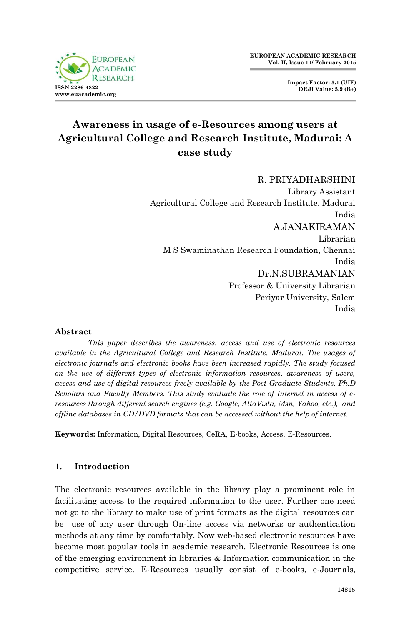

**Impact Factor: 3.1 (UIF) DRJI Value: 5.9 (B+)**

# **Awareness in usage of e-Resources among users at Agricultural College and Research Institute, Madurai: A case study**

## R. PRIYADHARSHINI Library Assistant Agricultural College and Research Institute, Madurai India A.JANAKIRAMAN Librarian M S Swaminathan Research Foundation, Chennai India Dr.N.SUBRAMANIAN Professor & University Librarian Periyar University, Salem India

## **Abstract**

*This paper describes the awareness, access and use of electronic resources available in the Agricultural College and Research Institute, Madurai. The usages of electronic journals and electronic books have been increased rapidly. The study focused on the use of different types of electronic information resources, awareness of users, access and use of digital resources freely available by the Post Graduate Students, Ph.D Scholars and Faculty Members. This study evaluate the role of Internet in access of eresources through different search engines (e.g. Google, AltaVista, Msn, Yahoo, etc.), and offline databases in CD/DVD formats that can be accessed without the help of internet.* 

**Keywords:** Information, Digital Resources, CeRA, E-books, Access, E-Resources.

#### **1. Introduction**

The electronic resources available in the library play a prominent role in facilitating access to the required information to the user. Further one need not go to the library to make use of print formats as the digital resources can be use of any user through On-line access via networks or authentication methods at any time by comfortably. Now web-based electronic resources have become most popular tools in academic research. Electronic Resources is one of the emerging environment in libraries & Information communication in the competitive service. E-Resources usually consist of e-books, e-Journals,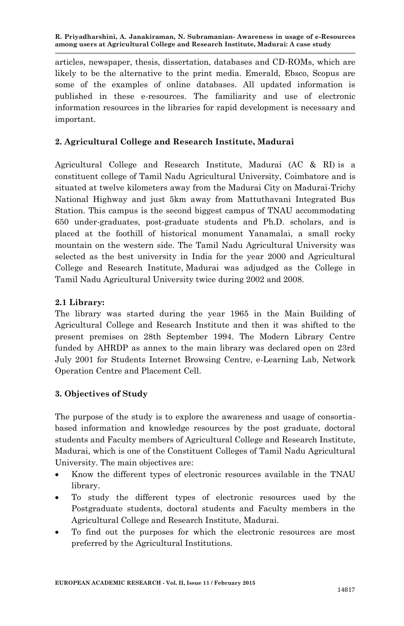articles, newspaper, thesis, dissertation, databases and CD-ROMs, which are likely to be the alternative to the print media. Emerald, Ebsco, Scopus are some of the examples of online databases. All updated information is published in these e-resources. The familiarity and use of electronic information resources in the libraries for rapid development is necessary and important.

## **2. Agricultural College and Research Institute, Madurai**

Agricultural College and Research Institute, Madurai (AC & RI) is a constituent college of Tamil Nadu Agricultural University, Coimbatore and is situated at twelve kilometers away from the Madurai City on Madurai-Trichy National Highway and just 5km away from Mattuthavani Integrated Bus Station. This campus is the second biggest campus of TNAU accommodating 650 under-graduates, post-graduate students and Ph.D. scholars, and is placed at the foothill of historical monument Yanamalai, a small rocky mountain on the western side. The Tamil Nadu Agricultural University was selected as the best university in India for the year 2000 and Agricultural College and Research Institute, Madurai was adjudged as the College in Tamil Nadu Agricultural University twice during 2002 and 2008.

## **2.1 Library:**

The library was started during the year 1965 in the Main Building of Agricultural College and Research Institute and then it was shifted to the present premises on 28th September 1994. The Modern Library Centre funded by AHRDP as annex to the main library was declared open on 23rd July 2001 for Students Internet Browsing Centre, e-Learning Lab, Network Operation Centre and Placement Cell.

## **3. Objectives of Study**

The purpose of the study is to explore the awareness and usage of consortiabased information and knowledge resources by the post graduate, doctoral students and Faculty members of Agricultural College and Research Institute, Madurai, which is one of the Constituent Colleges of Tamil Nadu Agricultural University. The main objectives are:

- Know the different types of electronic resources available in the TNAU library.
- To study the different types of electronic resources used by the Postgraduate students, doctoral students and Faculty members in the Agricultural College and Research Institute, Madurai.
- To find out the purposes for which the electronic resources are most preferred by the Agricultural Institutions.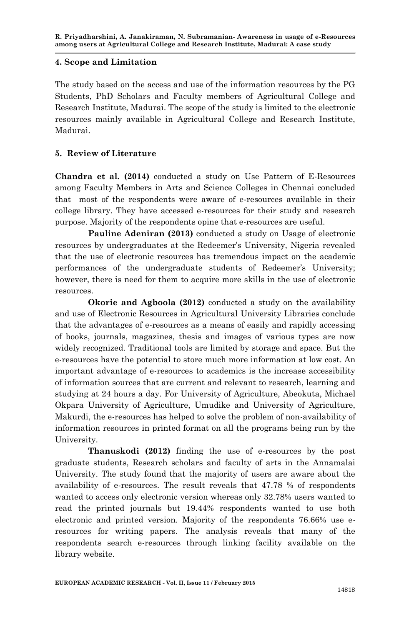#### **4. Scope and Limitation**

The study based on the access and use of the information resources by the PG Students, PhD Scholars and Faculty members of Agricultural College and Research Institute, Madurai. The scope of the study is limited to the electronic resources mainly available in Agricultural College and Research Institute, Madurai.

## **5. Review of Literature**

**Chandra et al. (2014)** conducted a study on Use Pattern of E-Resources among Faculty Members in Arts and Science Colleges in Chennai concluded that most of the respondents were aware of e-resources available in their college library. They have accessed e-resources for their study and research purpose. Majority of the respondents opine that e-resources are useful.

**Pauline Adeniran (2013)** conducted a study on Usage of electronic resources by undergraduates at the Redeemer's University, Nigeria revealed that the use of electronic resources has tremendous impact on the academic performances of the undergraduate students of Redeemer's University; however, there is need for them to acquire more skills in the use of electronic resources.

**Okorie and Agboola (2012)** conducted a study on the availability and use of Electronic Resources in Agricultural University Libraries conclude that the advantages of e-resources as a means of easily and rapidly accessing of books, journals, magazines, thesis and images of various types are now widely recognized. Traditional tools are limited by storage and space. But the e-resources have the potential to store much more information at low cost. An important advantage of e-resources to academics is the increase accessibility of information sources that are current and relevant to research, learning and studying at 24 hours a day. For University of Agriculture, Abeokuta, Michael Okpara University of Agriculture, Umudike and University of Agriculture, Makurdi, the e-resources has helped to solve the problem of non-availability of information resources in printed format on all the programs being run by the University.

**Thanuskodi (2012)** finding the use of e-resources by the post graduate students, Research scholars and faculty of arts in the Annamalai University. The study found that the majority of users are aware about the availability of e-resources. The result reveals that 47.78 % of respondents wanted to access only electronic version whereas only 32.78% users wanted to read the printed journals but 19.44% respondents wanted to use both electronic and printed version. Majority of the respondents 76.66% use eresources for writing papers. The analysis reveals that many of the respondents search e-resources through linking facility available on the library website.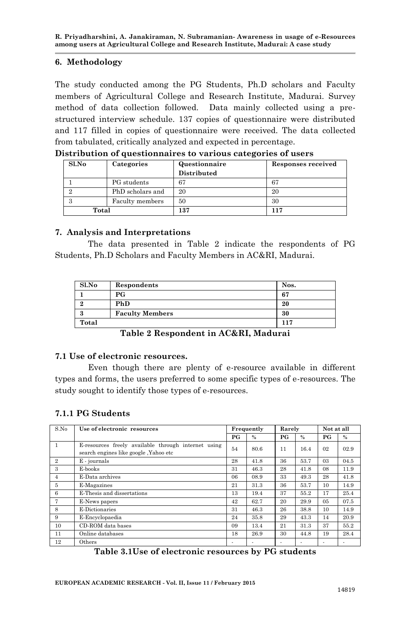#### **6. Methodology**

The study conducted among the PG Students, Ph.D scholars and Faculty members of Agricultural College and Research Institute, Madurai. Survey method of data collection followed. Data mainly collected using a prestructured interview schedule. 137 copies of questionnaire were distributed and 117 filled in copies of questionnaire were received. The data collected from tabulated, critically analyzed and expected in percentage.

| Sl.No | Categories       | Questionnaire<br>Distributed | <b>Responses received</b> |
|-------|------------------|------------------------------|---------------------------|
|       | PG students      | 67                           | 67                        |
|       | PhD scholars and | 20                           | 20                        |
| 3     | Faculty members  | 50                           | 30                        |
| Total |                  | 137                          | 117                       |

**Distribution of questionnaires to various categories of users**

## **7. Analysis and Interpretations**

The data presented in Table 2 indicate the respondents of PG Students, Ph.D Scholars and Faculty Members in AC&RI, Madurai.

| S1.No | Respondents            | Nos. |
|-------|------------------------|------|
|       | P G                    | 67   |
|       | <b>PhD</b>             | 20   |
|       | <b>Faculty Members</b> | 30   |
| Total |                        | 117  |

**Table 2 Respondent in AC&RI, Madurai**

## **7.1 Use of electronic resources.**

Even though there are plenty of e-resource available in different types and forms, the users preferred to some specific types of e-resources. The study sought to identify those types of e-resources.

## **7.1.1 PG Students**

| S.No           | Use of electronic resources                                                                  |    | Frequently               |                          | Rarely                   |                          | Not at all |
|----------------|----------------------------------------------------------------------------------------------|----|--------------------------|--------------------------|--------------------------|--------------------------|------------|
|                |                                                                                              | PG | $\frac{0}{2}$            | P G                      | $\frac{0}{2}$            | РG                       | $\%$       |
| 1              | E-resources freely available through internet using<br>search engines like google, Yahoo etc | 54 | 80.6                     | 11                       | 16.4                     | 02                       | 02.9       |
| $\overline{2}$ | $E$ - journals                                                                               | 28 | 41.8                     | 36                       | 53.7                     | 03                       | 04.5       |
| 3              | E-books                                                                                      | 31 | 46.3                     | 28                       | 41.8                     | 08                       | 11.9       |
| $\overline{4}$ | E-Data archives                                                                              | 06 | 08.9                     | 33                       | 49.3                     | 28                       | 41.8       |
| 5              | E-Magazines                                                                                  | 21 | 31.3                     | 36                       | 53.7                     | 10                       | 14.9       |
| 6              | E-Thesis and dissertations                                                                   | 13 | 19.4                     | 37                       | 55.2                     | 17                       | 25.4       |
| 7              | E-News papers                                                                                | 42 | 62.7                     | 20                       | 29.9                     | 0 <sub>5</sub>           | 07.5       |
| 8              | E-Dictionaries                                                                               | 31 | 46.3                     | 26                       | 38.8                     | 10                       | 14.9       |
| 9              | E-Encyclopaedia                                                                              | 24 | 35.8                     | 29                       | 43.3                     | 14                       | 20.9       |
| 10             | CD-ROM data bases                                                                            | 09 | 13.4                     | 21                       | 31.3                     | 37                       | 55.2       |
| 11             | Online databases                                                                             | 18 | 26.9                     | 30                       | 44.8                     | 19                       | 28.4       |
| 12             | Others                                                                                       |    | $\overline{\phantom{a}}$ | $\overline{\phantom{a}}$ | $\overline{\phantom{a}}$ | $\overline{\phantom{a}}$ | ٠          |

**Table 3.1Use of electronic resources by PG students**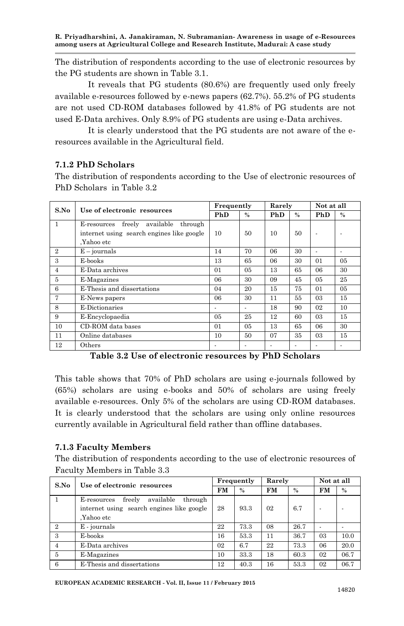**R. Priyadharshini, A. Janakiraman, N. Subramanian- Awareness in usage of e-Resources among users at Agricultural College and Research Institute, Madurai: A case study**

The distribution of respondents according to the use of electronic resources by the PG students are shown in Table 3.1.

It reveals that PG students (80.6%) are frequently used only freely available e-resources followed by e-news papers (62.7%). 55.2% of PG students are not used CD-ROM databases followed by 41.8% of PG students are not used E-Data archives. Only 8.9% of PG students are using e-Data archives.

It is clearly understood that the PG students are not aware of the eresources available in the Agricultural field.

## **7.1.2 PhD Scholars**

The distribution of respondents according to the Use of electronic resources of PhD Scholars in Table 3.2

| S.No           | Use of electronic resources                   | Frequently     |                | Rarely |               | Not at all<br>PhD<br>$\overline{\phantom{a}}$<br>٠<br>01<br>06<br>05<br>01<br>03<br>02<br>03<br>06<br>03 |                |
|----------------|-----------------------------------------------|----------------|----------------|--------|---------------|----------------------------------------------------------------------------------------------------------|----------------|
|                |                                               | PhD            | $\%$           | PhD    | $\frac{0}{0}$ |                                                                                                          | $\%$           |
| $\mathbf{1}$   | available<br>freely<br>through<br>E-resources |                |                |        |               |                                                                                                          |                |
|                | internet using search engines like google     | 10             | 50             | 10     | 50            |                                                                                                          |                |
|                | Yahoo etc.                                    |                |                |        |               |                                                                                                          |                |
| $\overline{2}$ | $E - \text{journals}$                         | 14             | 70             | 06     | 30            |                                                                                                          |                |
| 3              | E-books                                       | 13             | 65             | 06     | 30            |                                                                                                          | 0 <sub>5</sub> |
| 4              | E-Data archives                               | 01             | 05             | 13     | 65            |                                                                                                          | 30             |
| 5              | E-Magazines                                   | 06             | 30             | 09     | 45            |                                                                                                          | 25             |
| 6              | E-Thesis and dissertations                    | 04             | 20             | 15     | 75            |                                                                                                          | 05             |
| $\overline{7}$ | E-News papers                                 | 06             | 30             | 11     | 55            |                                                                                                          | 15             |
| 8              | E-Dictionaries                                |                |                | 18     | 90            |                                                                                                          | 10             |
| 9              | E-Encyclopaedia                               | 0 <sub>5</sub> | 25             | 12     | 60            |                                                                                                          | 15             |
| 10             | CD-ROM data bases                             | 01             | 0 <sub>5</sub> | 13     | 65            |                                                                                                          | 30             |
| 11             | Online databases                              | 10             | 50             | 07     | 35            |                                                                                                          | 15             |
| 12             | Others                                        |                |                |        |               |                                                                                                          |                |

**Table 3.2 Use of electronic resources by PhD Scholars**

This table shows that 70% of PhD scholars are using e-journals followed by (65%) scholars are using e-books and 50% of scholars are using freely available e-resources. Only 5% of the scholars are using CD-ROM databases. It is clearly understood that the scholars are using only online resources currently available in Agricultural field rather than offline databases.

#### **7.1.3 Faculty Members**

The distribution of respondents according to the use of electronic resources of Faculty Members in Table 3.3

| S.No            | Use of electronic resources                   | Frequently |      | Rarely    |               | Not at all                        |      |
|-----------------|-----------------------------------------------|------------|------|-----------|---------------|-----------------------------------|------|
|                 |                                               | <b>FM</b>  | $\%$ | <b>FM</b> | $\frac{0}{2}$ | <b>FM</b><br>03<br>06<br>02<br>02 | $\%$ |
|                 | available<br>freely<br>through<br>E-resources |            |      |           |               |                                   |      |
|                 | internet using search engines like google     | 28         | 93.3 | 02        | 6.7           |                                   |      |
|                 | .Yahoo etc                                    |            |      |           |               |                                   |      |
| $\overline{2}$  | E - journals                                  | 22         | 73.3 | 08        | 26.7          |                                   |      |
| 3               | E-books                                       | 16         | 53.3 | 11        | 36.7          |                                   | 10.0 |
| $\overline{4}$  | E-Data archives                               | 02         | 6.7  | 22        | 73.3          |                                   | 20.0 |
| $5\overline{)}$ | E-Magazines                                   | 10         | 33.3 | 18        | 60.3          |                                   | 06.7 |
| -6              | E-Thesis and dissertations                    | 12         | 40.3 | 16        | 53.3          |                                   | 06.7 |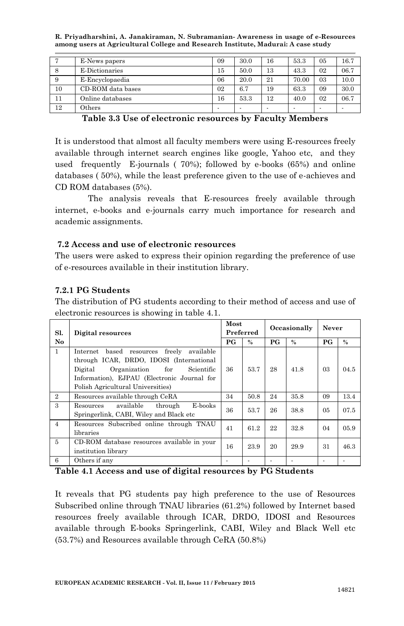**R. Priyadharshini, A. Janakiraman, N. Subramanian- Awareness in usage of e-Resources among users at Agricultural College and Research Institute, Madurai: A case study**

|    | E-News papers     | 09                       | 30.0 | 16 | 53.3  | 05 | 16.7 |
|----|-------------------|--------------------------|------|----|-------|----|------|
| -8 | E-Dictionaries    | 15                       | 50.0 | 13 | 43.3  | 02 | 06.7 |
| 9  | E-Encyclopaedia   | 06                       | 20.0 | 21 | 70.00 | 03 | 10.0 |
| 10 | CD-ROM data bases | 0 <sup>2</sup>           | 6.7  | 19 | 63.3  | 09 | 30.0 |
| 11 | Online databases  | 16                       | 53.3 | 12 | 40.0  | 02 | 06.7 |
| 12 | $0$ thers         | $\overline{\phantom{a}}$ |      | -  |       |    |      |

**Table 3.3 Use of electronic resources by Faculty Members**

It is understood that almost all faculty members were using E-resources freely available through internet search engines like google, Yahoo etc, and they used frequently E-journals ( 70%); followed by e-books (65%) and online databases ( 50%), while the least preference given to the use of e-achieves and CD ROM databases (5%).

The analysis reveals that E-resources freely available through internet, e-books and e-journals carry much importance for research and academic assignments.

## **7.2 Access and use of electronic resources**

The users were asked to express their opinion regarding the preference of use of e-resources available in their institution library.

## **7.2.1 PG Students**

The distribution of PG students according to their method of access and use of electronic resources is showing in table 4.1.

| Sl.            | Digital resources                                                                                                                                                                                                                     | Most                          | Preferred | Occasionally                      |               | Never                             |      |
|----------------|---------------------------------------------------------------------------------------------------------------------------------------------------------------------------------------------------------------------------------------|-------------------------------|-----------|-----------------------------------|---------------|-----------------------------------|------|
| No.            |                                                                                                                                                                                                                                       | $P$ <sup><math>G</math></sup> | $\%$      | $P$ <sup><math>\rm G</math></sup> | $\frac{0}{0}$ | $P$ <sup><math>\rm G</math></sup> | $\%$ |
| $\mathbf{1}$   | based<br>freely<br>available<br>Internet<br>resources<br>through ICAR, DRDO, IDOSI (International<br>Digital<br>Organization<br>Scientific<br>for<br>Information), EJPAU (Electronic Journal for<br>Polish Agricultural Universities) | 36                            | 53.7      | 28                                | 41.8          | 03                                | 04.5 |
| $\overline{2}$ | Resources available through CeRA                                                                                                                                                                                                      | 34                            | 50.8      | 24                                | 35.8          | 09                                | 13.4 |
| 3              | available<br>through<br>E-books<br>Resources<br>Springerlink, CABI, Wiley and Black etc.                                                                                                                                              | 36                            | 53.7      | 26                                | 38.8          | 0 <sub>5</sub>                    | 07.5 |
| $\overline{4}$ | Resources Subscribed online through TNAU<br>libraries                                                                                                                                                                                 | 41                            | 61.2      | 22                                | 32.8          | 04                                | 05.9 |
| $\overline{5}$ | CD-ROM database resources available in your<br>institution library                                                                                                                                                                    | 16                            | 23.9      | 20                                | 29.9          | 31                                | 46.3 |
| 6              | Others if any                                                                                                                                                                                                                         |                               |           |                                   |               |                                   |      |

**Table 4.1 Access and use of digital resources by PG Students**

It reveals that PG students pay high preference to the use of Resources Subscribed online through TNAU libraries (61.2%) followed by Internet based resources freely available through ICAR, DRDO, IDOSI and Resources available through E-books Springerlink, CABI, Wiley and Black Well etc (53.7%) and Resources available through CeRA (50.8%)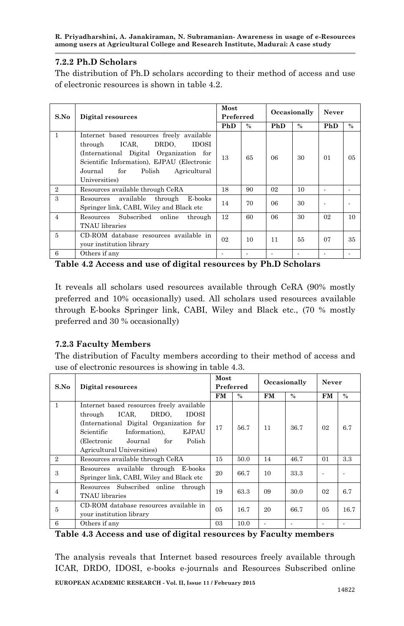**R. Priyadharshini, A. Janakiraman, N. Subramanian- Awareness in usage of e-Resources among users at Agricultural College and Research Institute, Madurai: A case study**

## **7.2.2 Ph.D Scholars**

The distribution of Ph.D scholars according to their method of access and use of electronic resources is shown in table 4.2.

| S.No           | Digital resources                                                                                                                                                                                                                     | Most<br>Preferred |      |     | Occasionally | Never |                |
|----------------|---------------------------------------------------------------------------------------------------------------------------------------------------------------------------------------------------------------------------------------|-------------------|------|-----|--------------|-------|----------------|
|                |                                                                                                                                                                                                                                       | PhD               | $\%$ | PhD | $\%$         | PhD   | $\%$           |
| 1              | Internet based resources freely available<br>ICAR.<br>DRDO.<br>IDOSI<br>through<br>(International Digital Organization for<br>Scientific Information), EJPAU (Electronic<br>Journal<br>for<br>Polish<br>Agricultural<br>Universities) | 13                | 65   | 06  | 30           | 01    | 0 <sub>5</sub> |
| $\mathbf{2}$   | Resources available through CeRA                                                                                                                                                                                                      | 18                | 90   | 02  | 10           |       |                |
| 3              | available through<br>E-books<br>Resources<br>Springer link, CABI, Wiley and Black etc                                                                                                                                                 | 14                | 70   | 06  | 30           |       |                |
| $\overline{4}$ | Resources Subscribed<br>online<br>through<br>TNAU libraries                                                                                                                                                                           | 12                | 60   | 06  | 30           | 02    | 10             |
| 5              | CD-ROM database resources available in<br>your institution library                                                                                                                                                                    | 02                | 10   | 11  | 55           | 07    | 35             |
| 6              | Others if any                                                                                                                                                                                                                         |                   |      |     |              |       |                |

**Table 4.2 Access and use of digital resources by Ph.D Scholars**

It reveals all scholars used resources available through CeRA (90% mostly preferred and 10% occasionally) used. All scholars used resources available through E-books Springer link, CABI, Wiley and Black etc., (70 % mostly preferred and 30 % occasionally)

## **7.2.3 Faculty Members**

The distribution of Faculty members according to their method of access and use of electronic resources is showing in table 4.3.

| S.No           | Digital resources                                                                                                                                                                                                                           |                | Most<br>Preferred |           | Occasionally |                | Never |  |
|----------------|---------------------------------------------------------------------------------------------------------------------------------------------------------------------------------------------------------------------------------------------|----------------|-------------------|-----------|--------------|----------------|-------|--|
|                |                                                                                                                                                                                                                                             | FM             | $\%$              | <b>FM</b> | $\%$         | FM             | $\%$  |  |
| $\mathbf{1}$   | Internet based resources freely available<br>ICAR.<br>DRDO.<br>IDOSI<br>through<br>(International Digital Organization for<br>Information).<br>EJPAU<br>Scientific<br>Polish<br>Journal<br>for<br>(Electronic<br>Agricultural Universities) | 17             | 56.7              | 11        | 36.7         | 0 <sup>2</sup> | 6.7   |  |
| $\mathbf{2}$   | Resources available through CeRA                                                                                                                                                                                                            | 15             | 50.0              | 14        | 46.7         | 01             | 3.3   |  |
| 3              | Resources available through E-books<br>Springer link, CABI, Wiley and Black etc.                                                                                                                                                            | 20             | 66.7              | 10        | 33.3         |                |       |  |
| $\overline{4}$ | Resources Subscribed online<br>through<br>TNAU libraries                                                                                                                                                                                    | 19             | 63.3              | 09        | 30.0         | 0 <sup>2</sup> | 6.7   |  |
| 5              | CD-ROM database resources available in<br>your institution library                                                                                                                                                                          | 0 <sub>5</sub> | 16.7              | 20        | 66.7         | 0 <sub>5</sub> | 16.7  |  |
| 6              | Others if any                                                                                                                                                                                                                               | 03             | 10.0              |           |              |                |       |  |

**Table 4.3 Access and use of digital resources by Faculty members**

**EUROPEAN ACADEMIC RESEARCH - Vol. II, Issue 11 / February 2015** The analysis reveals that Internet based resources freely available through ICAR, DRDO, IDOSI, e-books e-journals and Resources Subscribed online